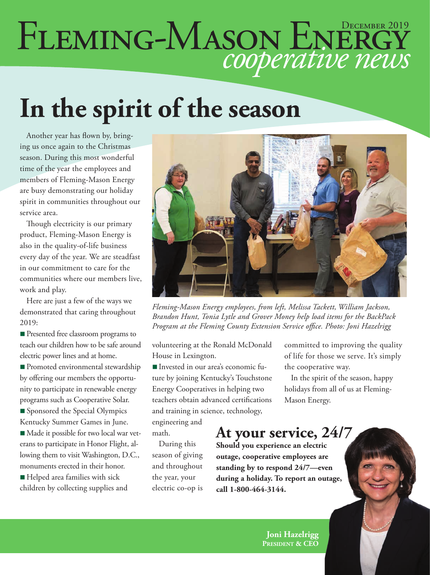# FLEMING-MASON ENERGY

## **In the spirit of the season**

Another year has flown by, bringing us once again to the Christmas season. During this most wonderful time of the year the employees and members of Fleming-Mason Energy are busy demonstrating our holiday spirit in communities throughout our service area.

Though electricity is our primary product, Fleming-Mason Energy is also in the quality-of-life business every day of the year. We are steadfast in our commitment to care for the communities where our members live, work and play.

Here are just a few of the ways we demonstrated that caring throughout 2019:

**n** Presented free classroom programs to teach our children how to be safe around electric power lines and at home.

■ Promoted environmental stewardship by offering our members the opportunity to participate in renewable energy programs such as Cooperative Solar.

Sponsored the Special Olympics Kentucky Summer Games in June.

■ Made it possible for two local war veterans to participate in Honor Flight, allowing them to visit Washington, D.C., monuments erected in their honor.

■ Helped area families with sick children by collecting supplies and



*Fleming-Mason Energy employees, from left, Melissa Tackett, William Jackson, Brandon Hunt, Tonia Lytle and Grover Money help load items for the BackPack Program at the Fleming County Extension Service office. Photo: Joni Hazelrigg*

volunteering at the Ronald McDonald House in Lexington.

n Invested in our area's economic future by joining Kentucky's Touchstone Energy Cooperatives in helping two teachers obtain advanced certifications and training in science, technology,

engineering and math.

During this season of giving and throughout the year, your electric co-op is

committed to improving the quality of life for those we serve. It's simply the cooperative way.

In the spirit of the season, happy holidays from all of us at Fleming-Mason Energy.

#### **At your service, 24/7**

**Should you experience an electric outage, cooperative employees are standing by to respond 24/7—even during a holiday. To report an outage, call 1-800-464-3144.**

> **Joni Hazelrigg President & CEO**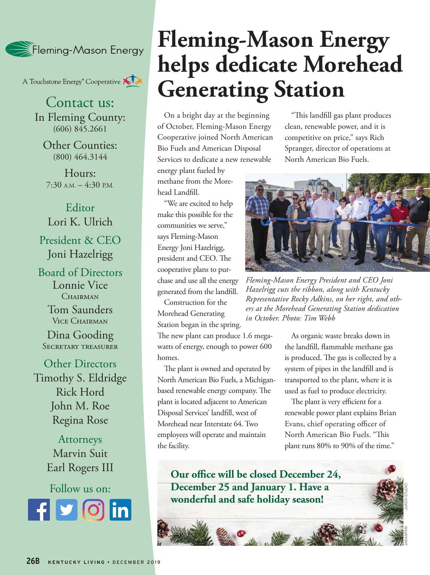

A Touchstone Energy<sup>®</sup> Cooperative A

Contact us: In Fleming County: (606) 845.2661

Other Counties: (800) 464.3144

Hours:  $7:30$  A.M.  $-4:30$  P.M.

Editor Lori K. Ulrich President & CEO Joni Hazelrigg

Board of Directors Lonnie Vice CHAIRMAN

> Tom Saunders Vice Chairman

Dina Gooding Secretary treasurer

Other Directors Timothy S. Eldridge Rick Hord John M. Roe Regina Rose

> Attorneys Marvin Suit Earl Rogers III

Follow us on: **Rounded square** Only use blue and/or white. For more details check out our Brand Guidelines.

### **Fleming-Mason Energy helps dedicate Morehead Generating Station**

On a bright day at the beginning of October, Fleming-Mason Energy Cooperative joined North American Bio Fuels and American Disposal Services to dedicate a new renewable

energy plant fueled by methane from the Morehead Landfill.

"We are excited to help make this possible for the communities we serve," says Fleming-Mason Energy Joni Hazelrigg, president and CEO. The cooperative plans to purchase and use all the energy generated from the landfill.

Construction for the Morehead Generating Station began in the spring.

The new plant can produce 1.6 megawatts of energy, enough to power 600 homes.

The plant is owned and operated by North American Bio Fuels, a Michiganbased renewable energy company. The plant is located adjacent to American Disposal Services' landfill, west of Morehead near Interstate 64. Two employees will operate and maintain the facility.

"This landfill gas plant produces clean, renewable power, and it is competitive on price," says Rich Spranger, director of operations at North American Bio Fuels.



*Fleming-Mason Energy President and CEO Joni Hazelrigg cuts the ribbon, along with Kentucky Representative Rocky Adkins, on her right, and others at the Morehead Generating Station dedication in October. Photo: Tim Webb*

As organic waste breaks down in the landfill, flammable methane gas is produced. The gas is collected by a system of pipes in the landfill and is transported to the plant, where it is used as fuel to produce electricity.

The plant is very efficient for a renewable power plant explains Brian Evans, chief operating officer of North American Bio Fuels. "This plant runs 80% to 90% of the time."

**Our office will be closed December 24, December 25 and January 1. Have a wonderful and safe holiday season!**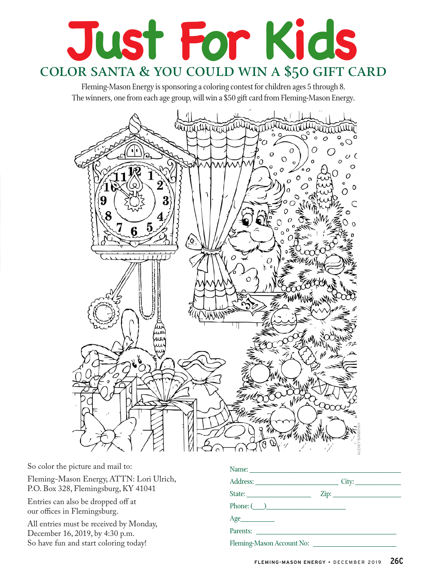## **Just For Kids** color santa & you could win a \$50 gift card

Fleming-Mason Energy is sponsoring a coloring contest for children ages 5 through 8. The winners, one from each age group, will win a \$50 gift card from Fleming-Mason Energy.



So color the picture and mail to: Fleming-Mason Energy, ATTN: Lori Ulrich, P.O. Box 328, Flemingsburg, KY 41041 Entries can also be dropped off at our offices in Flemingsburg. All entries must be received by Monday, December 16, 2019, by 4:30 p.m. So have fun and start coloring today! Name: \_\_\_\_\_\_\_\_\_\_\_\_\_\_\_\_\_\_\_\_\_\_\_\_\_\_\_\_\_\_\_\_\_\_\_\_\_\_\_\_ Address: \_\_\_\_\_\_\_\_\_\_\_\_\_\_\_\_\_\_\_\_\_\_ City: \_\_\_\_\_\_\_\_\_\_\_\_ State: \_\_\_\_\_\_\_\_\_\_\_\_\_\_\_\_\_ Zip: \_\_\_\_\_\_\_\_\_\_\_\_\_\_\_\_\_\_ Phone: (\_\_\_)\_\_\_\_\_\_\_\_\_\_\_\_\_\_\_\_\_\_\_\_\_  $Age$ Parents: \_\_\_\_\_\_\_\_\_\_\_\_\_\_\_\_\_\_\_\_\_\_\_\_\_\_\_\_\_\_\_\_\_\_\_\_\_  $F = \frac{1}{\sqrt{2\pi}} \int_{0}^{\frac{\pi}{2}} \frac{\sqrt{2\pi}}{4\pi} \int_{0}^{\frac{\pi}{2}} \frac{\sqrt{2\pi}}{4\pi} \int_{0}^{\frac{\pi}{2}} \frac{\sqrt{2\pi}}{4\pi} \int_{0}^{\frac{\pi}{2}} \frac{\sqrt{2\pi}}{4\pi} \int_{0}^{\frac{\pi}{2}} \frac{\sqrt{2\pi}}{4\pi} \int_{0}^{\frac{\pi}{2}} \frac{\sqrt{2\pi}}{4\pi} \int_{0}^{\frac{\pi}{2}} \frac{\sqrt{2\pi}}{4\pi} \int_{0}^{\frac{\pi}{2}} \frac{\sqrt$